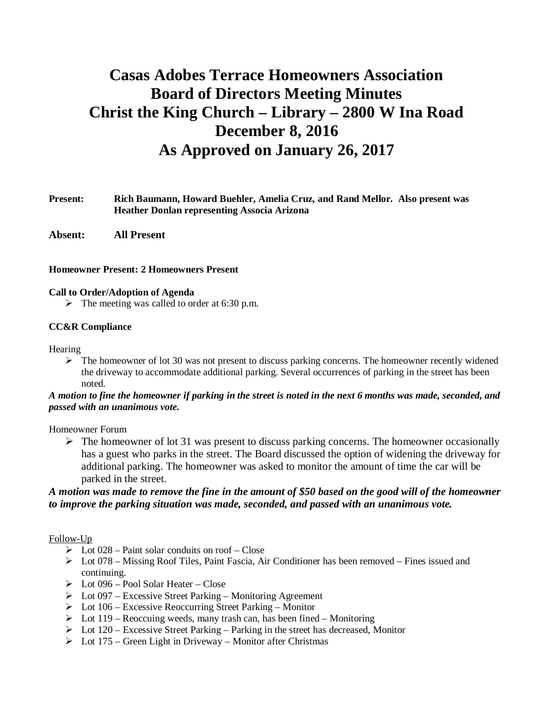# **Casas Adobes Terrace Homeowners Association Board of Directors Meeting Minutes Christ the King Church – Library – 2800 W Ina Road December 8, 2016 As Approved on January 26, 2017**

## **Present: Rich Baumann, Howard Buehler, Amelia Cruz, and Rand Mellor. Also present was Heather Donlan representing Associa Arizona**

**Absent: All Present**

#### **Homeowner Present: 2 Homeowners Present**

#### **Call to Order/Adoption of Agenda**

 $\triangleright$  The meeting was called to order at 6:30 p.m.

#### **CC&R Compliance**

#### Hearing

 $\triangleright$  The homeowner of lot 30 was not present to discuss parking concerns. The homeowner recently widened the driveway to accommodate additional parking. Several occurrences of parking in the street has been noted.

## *A motion to fine the homeowner if parking in the street is noted in the next 6 months was made, seconded, and passed with an unanimous vote.*

#### Homeowner Forum

 $\triangleright$  The homeowner of lot 31 was present to discuss parking concerns. The homeowner occasionally has a guest who parks in the street. The Board discussed the option of widening the driveway for additional parking. The homeowner was asked to monitor the amount of time the car will be parked in the street.

## *A motion was made to remove the fine in the amount of \$50 based on the good will of the homeowner to improve the parking situation was made, seconded, and passed with an unanimous vote.*

## Follow-Up

- $\triangleright$  Lot 028 Paint solar conduits on roof Close
- $\triangleright$  Lot 078 Missing Roof Tiles, Paint Fascia, Air Conditioner has been removed Fines issued and continuing.
- $\triangleright$  Lot 096 Pool Solar Heater Close
- $\triangleright$  Lot 097 Excessive Street Parking Monitoring Agreement
- $\triangleright$  Lot 106 Excessive Reoccurring Street Parking Monitor
- $\triangleright$  Lot 119 Reoccuing weeds, many trash can, has been fined Monitoring
- $\triangleright$  Lot 120 Excessive Street Parking Parking in the street has decreased, Monitor
- $\triangleright$  Lot 175 Green Light in Driveway Monitor after Christmas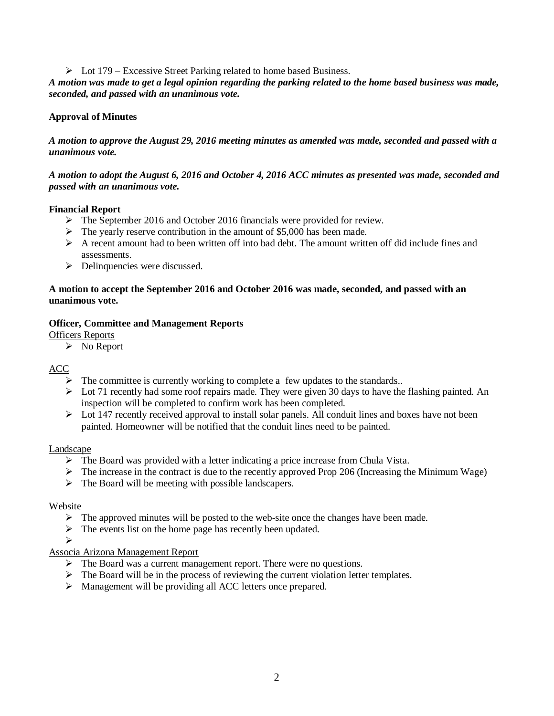$\triangleright$  Lot 179 – Excessive Street Parking related to home based Business.

*A motion was made to get a legal opinion regarding the parking related to the home based business was made, seconded, and passed with an unanimous vote.*

# **Approval of Minutes**

*A motion to approve the August 29, 2016 meeting minutes as amended was made, seconded and passed with a unanimous vote.*

## *A motion to adopt the August 6, 2016 and October 4, 2016 ACC minutes as presented was made, seconded and passed with an unanimous vote.*

## **Financial Report**

- $\triangleright$  The September 2016 and October 2016 financials were provided for review.
- $\triangleright$  The yearly reserve contribution in the amount of \$5,000 has been made.
- $\triangleright$  A recent amount had to been written off into bad debt. The amount written off did include fines and assessments.
- $\triangleright$  Delinquencies were discussed.

## **A motion to accept the September 2016 and October 2016 was made, seconded, and passed with an unanimous vote.**

### **Officer, Committee and Management Reports**

Officers Reports

 $\triangleright$  No Report

## ACC

- $\triangleright$  The committee is currently working to complete a few updates to the standards..
- $\triangleright$  Lot 71 recently had some roof repairs made. They were given 30 days to have the flashing painted. An inspection will be completed to confirm work has been completed.
- $\triangleright$  Lot 147 recently received approval to install solar panels. All conduit lines and boxes have not been painted. Homeowner will be notified that the conduit lines need to be painted.

## Landscape

- $\triangleright$  The Board was provided with a letter indicating a price increase from Chula Vista.
- $\triangleright$  The increase in the contract is due to the recently approved Prop 206 (Increasing the Minimum Wage)
- $\triangleright$  The Board will be meeting with possible landscapers.

#### Website

- $\triangleright$  The approved minutes will be posted to the web-site once the changes have been made.
- $\triangleright$  The events list on the home page has recently been updated.

Ø

## Associa Arizona Management Report

- $\triangleright$  The Board was a current management report. There were no questions.
- $\triangleright$  The Board will be in the process of reviewing the current violation letter templates.
- $\triangleright$  Management will be providing all ACC letters once prepared.